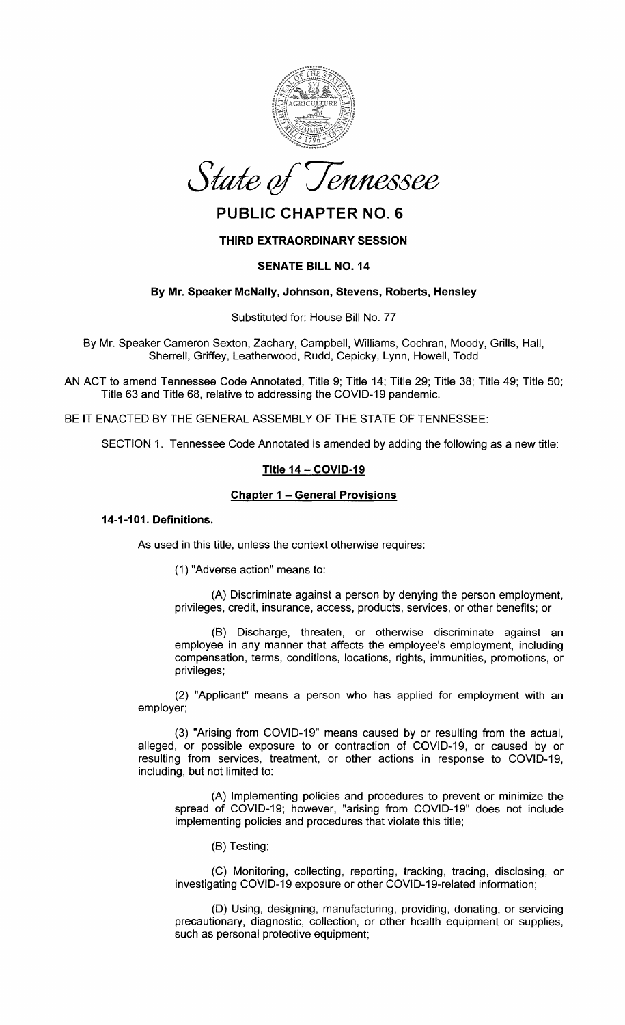



# **PUBLIC CHAPTER NO. 6**

# **THIRD EXTRAORDINARY SESSION**

# **SENATE BILL NO. 14**

# **By Mr. Speaker McNally, Johnson, Stevens, Roberts, Hensley**

Substituted for: House Bill No. 77

By Mr. Speaker Cameron Sexton, Zachary, Campbell, Williams, Cochran, Moody, Grills, Hall, Sherrell, Griffey, Leatherwood, Rudd, Cepicky, Lynn, Howell, Todd

AN ACT to amend Tennessee Code Annotated, Title 9; Title 14; Title 29; Title 38; Title 49; Title 50; Title 63 and Title 68, relative to addressing the COVID-19 pandemic.

BE IT ENACTED BY THE GENERAL ASSEMBLY OF THE STATE OF TENNESSEE:

SECTION 1. Tennessee Code Annotated is amended by adding the following as a new title:

# **Title 14- COVID-19**

# **Chapter 1 - General Provisions**

### **14-1-101. Definitions.**

As used in this title, unless the context otherwise requires:

(1) "Adverse action" means to:

(A) Discriminate against a person by denying the person employment, privileges, credit, insurance, access, products, services, or other benefits; or

(B) Discharge, threaten, or otherwise discriminate against an employee in any manner that affects the employee's employment, including compensation, terms, conditions, locations, rights, immunities, promotions, or privileges;

(2) "Applicant" means a person who has applied for employment with an employer;

(3) "Arising from COVID-19" means caused by or resulting from the actual, alleged, or possible exposure to or contraction of COVID-19, or caused by or resulting from services, treatment, or other actions in response to COVID-19, including, but not limited to:

(A) Implementing policies and procedures to prevent or minimize the spread of COVID-19; however, "arising from COVID-19" does not include implementing policies and procedures that violate this title;

(B) Testing;

(C) Monitoring, collecting, reporting, tracking, tracing, disclosing, or investigating COVID-19 exposure or other COVID-19-related information;

(D) Using, designing, manufacturing, providing, donating, or servicing precautionary, diagnostic, collection, or other health equipment or supplies, such as personal protective equipment;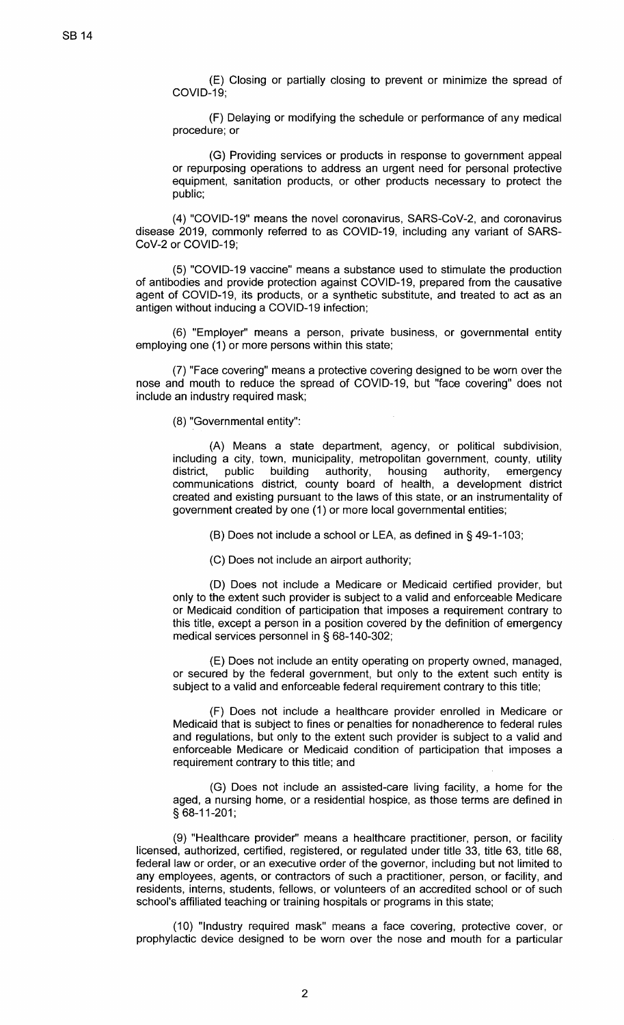(E) Closing or partially closing to prevent or minimize the spread of COVID-19;

(F) Delaying or modifying the schedule or performance of any medical procedure; or

(G) Providing services or products in response to government appeal or repurposing operations to address an urgent need for personal protective equipment, sanitation products, or other products necessary to protect the public;

(4) "COVID-19" means the novel coronavirus, SARS-CoV-2, and coronavirus disease 2019, commonly referred to as COVID-19, including any variant of SARS-CoV-2 or COVID-19;

(5) "COVID-19 vaccine" means a substance used to stimulate the production of antibodies and provide protection against COVID-19, prepared from the causative agent of COVID-19, its products, or a synthetic substitute, and treated to act as an antigen without inducing a COVID-19 infection;

(6) "Employer" means a person, private business, or governmental entity employing one (1) or more persons within this state;

(7) "Face covering" means a protective covering designed to be worn over the nose and mouth to reduce the spread of COVID-19, but "face covering" does not include an industry required mask;

(8) "Governmental entity":

(A) Means a state department, agency, or political subdivision, including a city, town, municipality, metropolitan government, county, utility district, public building authority, housing authority, emergency district, public building authority, housing authority, emergency communications district, county board of health, a development district created and existing pursuant to the laws of this state, or an instrumentality of government created by one (1) or more local governmental entities;

(B) Does not include a school or LEA, as defined in§ 49-1-103;

(C) Does not include an airport authority;

(D) Does not include a Medicare or Medicaid certified provider, but only to the extent such provider is subject to a valid and enforceable Medicare or Medicaid condition of participation that imposes a requirement contrary to this title, except a person in a position covered by the definition of emergency medical services personnel in§ 68-140-302;

(E) Does not include an entity operating on property owned, managed, or secured by the federal government, but only to the extent such entity is subject to a valid and enforceable federal requirement contrary to this title;

(F) Does not include a healthcare provider enrolled in Medicare or Medicaid that is subject to fines or penalties for nonadherence to federal rules and regulations, but only to the extent such provider is subject to a valid and enforceable Medicare or Medicaid condition of participation that imposes a requirement contrary to this title; and

(G) Does not include an assisted-care living facility, a home for the aged, a nursing home, or a residential hospice, as those terms are defined in § 68-11-201;

(9) "Healthcare provider" means a healthcare practitioner, person, or facility licensed, authorized, certified, registered, or regulated under title 33, title 63, title 68, federal law or order, or an executive order of the governor, including but not limited to any employees, agents, or contractors of such a practitioner, person, or facility, and residents, interns, students, fellows, or volunteers of an accredited school or of such school's affiliated teaching or training hospitals or programs in this state;

(10) "Industry required mask" means a face covering, protective cover, or prophylactic device designed to be worn over the nose and mouth for a particular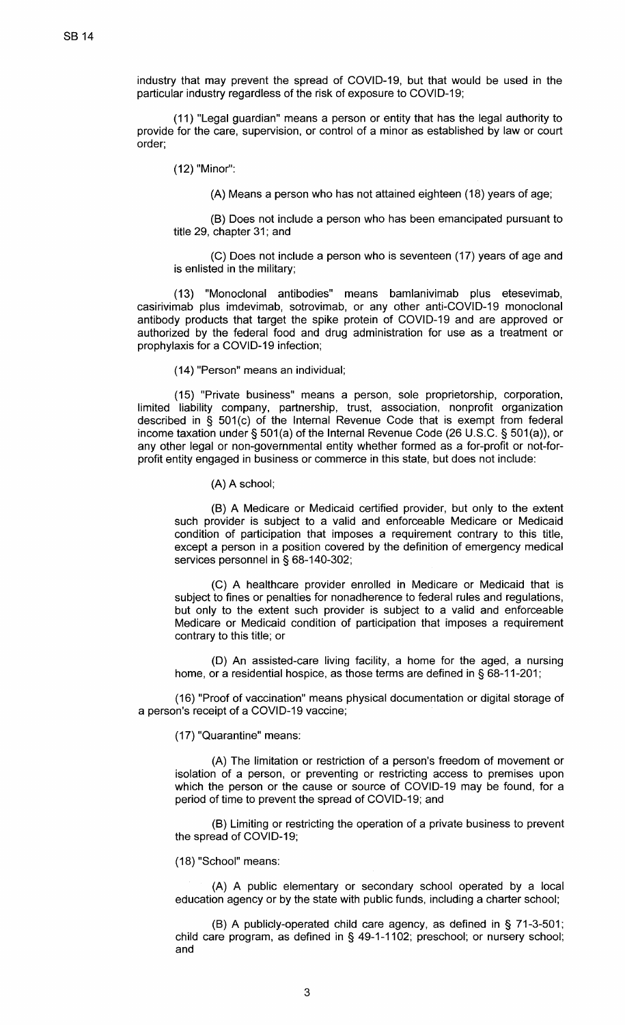industry that may prevent the spread of COVID-19, but that would be used in the particular industry regardless of the risk of exposure to COVID-19;

(11) "Legal guardian" means a person or entity that has the legal authority to provide for the care, supervision, or control of a minor as established by law or court order;

(12) "Minor":

(A) Means a person who has not attained eighteen (18) years of age;

(B) Does not include a person who has been emancipated pursuant to title 29, chapter 31; and

(C) Does not include a person who is seventeen (17) years of age and is enlisted in the military;

(13) "Monoclonal antibodies" means bamlanivimab plus etesevimab, casirivimab plus imdevimab, sotrovimab, or any other anti-COVID-19 monoclonal antibody products that target the spike protein of COVID-19 and are approved or authorized by the federal food and drug administration for use as a treatment or prophylaxis for a COVID-19 infection;

(14) "Person" means an individual;

(15) "Private business" means a person, sole proprietorship, corporation, limited liability company, partnership, trust, association, nonprofit organization described in § 501(c) of the Internal Revenue Code that is exempt from federal income taxation under § 501(a) of the Internal Revenue Code (26 U.S.C. § 501(a)), or any other legal or non-governmental entity whether formed as a for-profit or not-forprofit entity engaged in business or commerce in this state, but does not include:

(A) A school;

(B) A Medicare or Medicaid certified provider, but only to the extent such provider is subject to a valid and enforceable Medicare or Medicaid condition of participation that imposes a requirement contrary to this title, except a person in a position covered by the definition of emergency medical services personnel in § 68-140-302;

(C) A healthcare provider enrolled in Medicare or Medicaid that is subject to fines or penalties for nonadherence to federal rules and regulations, but only to the extent such provider is subject to a valid and enforceable Medicare or Medicaid condition of participation that imposes a requirement contrary to this title; or

(D) An assisted-care living facility, a home for the aged, a nursing home, or a residential hospice, as those terms are defined in§ 68-11-201;

(16) "Proof of vaccination" means physical documentation or digital storage of a person's receipt of a COVID-19 vaccine;

(17) "Quarantine" means:

(A) The limitation or restriction of a person's freedom of movement or isolation of a person, or preventing or restricting access to premises upon which the person or the cause or source of COVID-19 may be found, for a period of time to prevent the spread of COVID-19; and

(B) Limiting or restricting the operation of a private business to prevent the spread of COVID-19;

(18) "School" means:

(A) A public elementary or secondary school operated by a local education agency or by the state with public funds, including a charter school;

(B) A publicly-operated child care agency, as defined in § 71-3-501; child care program, as defined in § 49-1-1102; preschool; or nursery school; and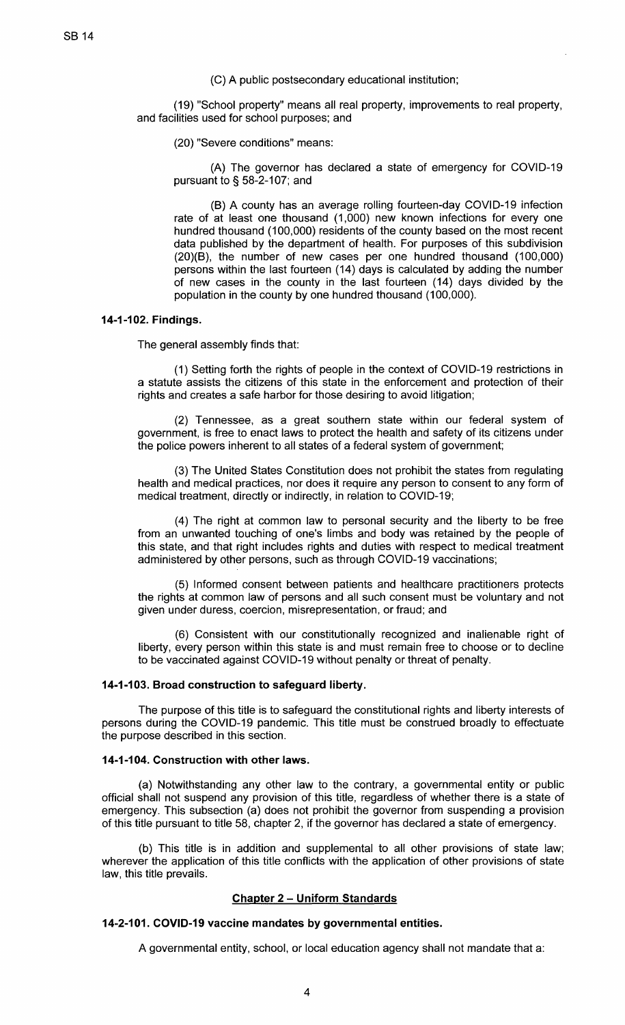(C) A public postsecondary educational institution;

(19) "School property" means all real property, improvements to real property, and facilities used for school purposes; and

(20) "Severe conditions" means:

(A) The governor has declared a state of emergency for COVID-19 pursuant to § 58-2-107; and

(B) A county has an average rolling fourteen-day COVID-19 infection rate of at least one thousand (1,000) new known infections for every one hundred thousand (100,000) residents of the county based on the most recent data published by the department of health. For purposes of this subdivision (20)(8), the number of new cases per one hundred thousand (100,000) persons within the last fourteen (14) days is calculated by adding the number of new cases in the county in the last fourteen (14) days divided by the population in the county by one hundred thousand (100,000).

### **14-1-102. Findings.**

The general assembly finds that:

(1) Setting forth the rights of people in the context of COVID-19 restrictions in a statute assists the citizens of this state in the enforcement and protection of their rights and creates a safe harbor for those desiring to avoid litigation;

(2) Tennessee, as a great southern state within our federal system of government, is free to enact laws to protect the health and safety of its citizens under the police powers inherent to all states of a federal system of government;

(3) The United States Constitution does not prohibit the states from regulating health and medical practices, nor does it require any person to consent to any form of medical treatment, directly or indirectly, in relation to COVID-19;

(4) The right at common law to personal security and the liberty to be free from an unwanted touching of one's limbs and body was retained by the people of this state, and that right includes rights and duties with respect to medical treatment administered by other persons, such as through COVID-19 vaccinations;

(5) Informed consent between patients and healthcare practitioners protects the rights at common law of persons and all such consent must be voluntary and not given under duress, coercion, misrepresentation, or fraud; and

(6) Consistent with our constitutionally recognized and inalienable right of liberty, every person within this state is and must remain free to choose or to decline to be vaccinated against COVID-19 without penalty or threat of penalty.

### **14-1-103. Broad construction to safeguard liberty.**

The purpose of this title is to safeguard the constitutional rights and liberty interests of persons during the COVID-19 pandemic. This title must be construed broadly to effectuate the purpose described in this section.

### **14-1-104. Construction with other laws.**

(a) Notwithstanding any other law to the contrary, a governmental entity or public official shall not suspend any provision of this title, regardless of whether there is a state of emergency. This subsection (a) does not prohibit the governor from suspending a provision of this title pursuant to title 58, chapter 2, if the governor has declared a state of emergency.

(b) This title is in addition and supplemental to all other provisions of state law; wherever the application of this title conflicts with the application of other provisions of state law, this title prevails.

## **Chapter 2 - Uniform Standards**

### **14-2-101. COVID-19 vaccine mandates by governmental entities.**

A governmental entity, school, or local education agency shall not mandate that a: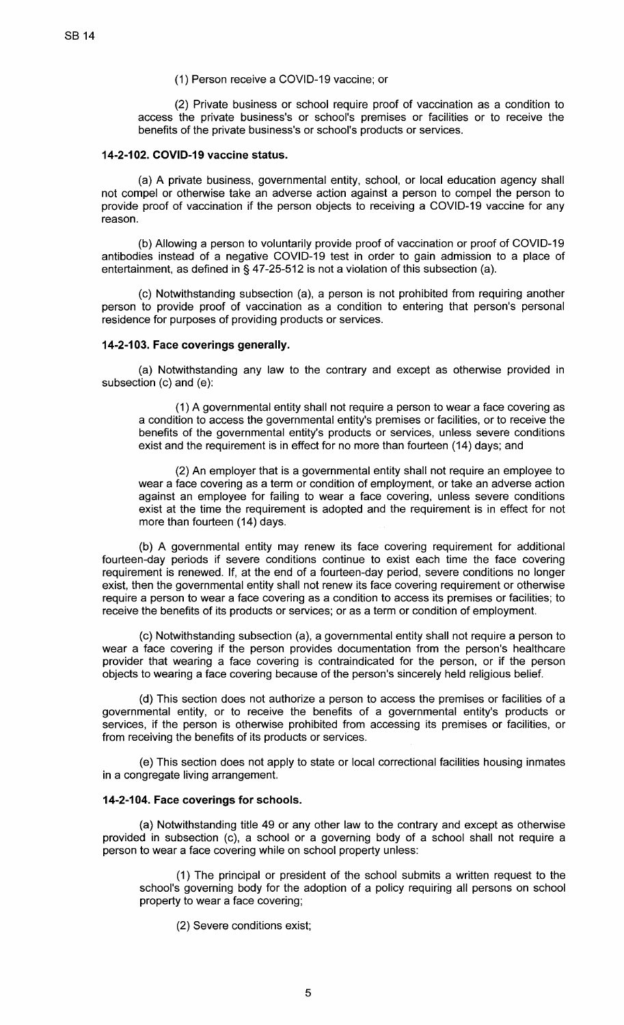### (1) Person receive a COVID-19 vaccine; or

(2) Private business or school require proof of vaccination as a condition to access the private business's or school's premises or facilities or to receive the benefits of the private business's or school's products or services.

## **14-2-102. COVID-19 vaccine status.**

(a) A private business, governmental entity, school, or local education agency shall not compel or otherwise take an adverse action against a person to compel the person to provide proof of vaccination if the person objects to receiving a COVID-19 vaccine for any reason.

(b) Allowing a person to voluntarily provide proof of vaccination or proof of COVID-19 antibodies instead of a negative COVID-19 test in order to gain admission to a place of entertainment, as defined in§ 47-25-512 is not a violation of this subsection (a).

(c) Notwithstanding subsection (a), a person is not prohibited from requiring another person to provide proof of vaccination as a condition to entering that person's personal residence for purposes of providing products or services.

# **14-2-103. Face coverings generally.**

(a) Notwithstanding any law to the contrary and except as otherwise provided in subsection (c) and (e):

(1) A governmental entity shall not require a person to wear a face covering as a condition to access the governmental entity's premises or facilities, or to receive the benefits of the governmental entity's products or services, unless severe conditions exist and the requirement is in effect for no more than fourteen (14) days; and

(2) An employer that is a governmental entity shall not require an employee to wear a face covering as a term or condition of employment, or take an adverse action against an employee for failing to wear a face covering, unless severe conditions exist at the time the requirement is adopted and the requirement is in effect for not more than fourteen (14) days.

(b) A governmental entity may renew its face covering requirement for additional fourteen-day periods if severe conditions continue to exist each time the face covering requirement is renewed. If, at the end of a fourteen-day period, severe conditions no longer exist, then the governmental entity shall not renew its face covering requirement or otherwise require a person to wear a face covering as a condition to access its premises or facilities; to receive the benefits of its products or services; or as a term or condition of employment.

(c) Notwithstanding subsection (a), a governmental entity shall not require a person to wear a face covering if the person provides documentation from the person's healthcare provider that wearing a face covering is contraindicated for the person, or if the person objects to wearing a face covering because of the person's sincerely held religious belief.

(d) This section does not authorize a person to access the premises or facilities of a governmental entity, or to receive the benefits of a governmental entity's products or services, if the person is otherwise prohibited from accessing its premises or facilities, or from receiving the benefits of its products or services.

(e) This section does not apply to state or local correctional facilities housing inmates in a congregate living arrangement.

### **14-2-104. Face coverings for schools.**

(a) Notwithstanding title 49 or any other law to the contrary and except as otherwise provided in subsection (c), a school or a governing body of a school shall not require a person to wear a face covering while on school property unless:

(1) The principal or president of the school submits a written request to the school's governing body for the adoption of a policy requiring all persons on school property to wear a face covering;

(2) Severe conditions exist;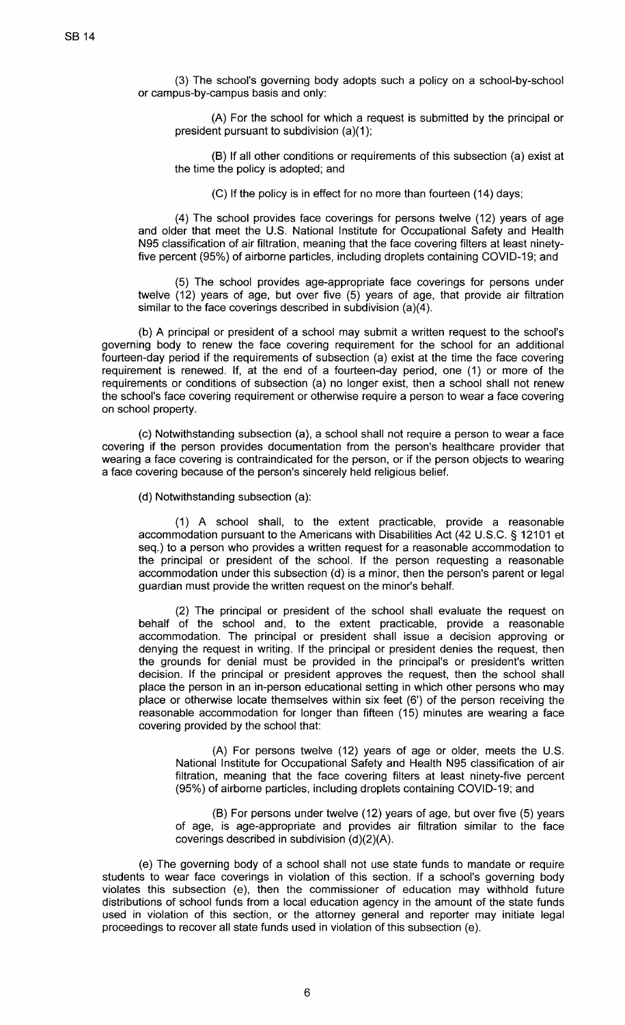(3) The school's governing body adopts such a policy on a school-by-school or campus-by-campus basis and only:

(A) For the school for which a request is submitted by the principal or president pursuant to subdivision (a)(1);

(B) If all other conditions or requirements of this subsection (a) exist at the time the policy is adopted; and

(C) If the policy is in effect for no more than fourteen (14) days;

(4) The school provides face coverings for persons twelve (12) years of age and older that meet the U.S. National Institute for Occupational Safety and Health N95 classification of air filtration, meaning that the face covering filters at least ninetyfive percent (95%) of airborne particles, including droplets containing COVID-19; and

(5) The school provides age-appropriate face coverings for persons under twelve (12) years of age, but over five (5) years of age, that provide air filtration similar to the face coverings described in subdivision (a)(4).

(b) A principal or president of a school may submit a written request to the school's governing body to renew the face covering requirement for the school for an additional fourteen-day period if the requirements of subsection (a) exist at the time the face covering requirement is renewed. If, at the end of a fourteen-day period, one (1) or more of the requirements or conditions of subsection (a) no longer exist, then a school shall not renew the school's face covering requirement or otherwise require a person to wear a face covering on school property.

(c) Notwithstanding subsection (a), a school shall not require a person to wear a face covering if the person provides documentation from the person's healthcare provider that wearing a face covering is contraindicated for the person, or if the person objects to wearing a face covering because of the person's sincerely held religious belief.

(d) Notwithstanding subsection (a):

(1) A school shall, to the extent practicable, provide a reasonable accommodation pursuant to the Americans with Disabilities Act (42 U.S.C. § 12101 et seq.) to a person who provides a written request for a reasonable accommodation to the principal or president of the school. If the person requesting a reasonable accommodation under this subsection (d) is a minor, then the person's parent or legal guardian must provide the written request on the minor's behalf.

(2) The principal or president of the school shall evaluate the request on behalf of the school and, to the extent practicable, provide a reasonable accommodation. The principal or president shall issue a decision approving or denying the request in writing. If the principal or president denies the request, then the grounds for denial must be provided in the principal's or president's written decision. If the principal or president approves the request, then the school shall place the person in an in-person educational setting in which other persons who may place or otherwise locate themselves within six feet (6') of the person receiving the reasonable accommodation for longer than fifteen (15) minutes are wearing a face covering provided by the school that:

(A) For persons twelve (12) years of age or older, meets the U.S. National Institute for Occupational Safety and Health N95 classification of air filtration, meaning that the face covering filters at least ninety-five percent (95%) of airborne particles, including droplets containing COVID-19; and

(B) For persons under twelve (12) years of age, but over five (5) years of age, is age-appropriate and provides air filtration similar to the face coverings described in subdivision (d)(2)(A).

(e) The governing body of a school shall not use state funds to mandate or require students to wear face coverings in violation of this section. If a school's governing body violates this subsection (e), then the commissioner of education may withhold future distributions of school funds from a local education agency in the amount of the state funds used in violation of this section, or the attorney general and reporter may initiate legal proceedings to recover all state funds used in violation of this subsection (e).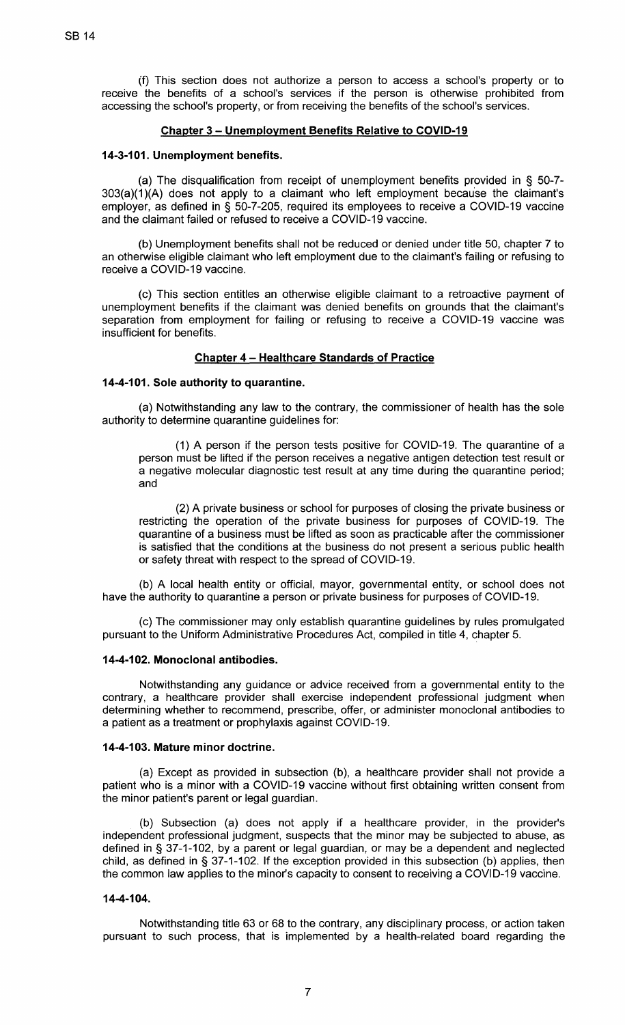(f) This section does not authorize a person to access a school's property or to receive the benefits of a school's services if the person is otherwise prohibited from accessing the school's property, or from receiving the benefits of the school's services.

### **Chapter 3- Unemployment Benefits Relative to COVID-19**

## **14-3-101. Unemployment benefits.**

(a) The disqualification from receipt of unemployment benefits provided in § 50-7-  $303(a)(1)(A)$  does not apply to a claimant who left employment because the claimant's employer, as defined in§ 50-7-205, required its employees to receive a COVID-19 vaccine and the claimant failed or refused to receive a COVID-19 vaccine.

(b) Unemployment benefits shall not be reduced or denied under title 50, chapter 7 to an otherwise eligible claimant who left employment due to the claimant's failing or refusing to receive a COVID-19 vaccine.

(c) This section entitles an otherwise eligible claimant to a retroactive payment of unemployment benefits if the claimant was denied benefits on grounds that the claimant's separation from employment for failing or refusing to receive a COVID-19 vaccine was insufficient for benefits.

# **Chapter 4 - Healthcare Standards of Practice**

# **14-4-101. Sole authority to quarantine.**

(a) Notwithstanding any law to the contrary, the commissioner of health has the sole authority to determine quarantine guidelines for:

(1) A person if the person tests positive for COVID-19. The quarantine of a person must be lifted if the person receives a negative antigen detection test result or a negative molecular diagnostic test result at any time during the quarantine period; and

(2) A private business or school for purposes of closing the private business or restricting the operation of the private business for purposes of COVID-19. The quarantine of a business must be lifted as soon as practicable after the commissioner is satisfied that the conditions at the business do not present a serious public health or safety threat with respect to the spread of COVID-19.

(b) A local health entity or official, mayor, governmental entity, or school does not have the authority to quarantine a person or private business for purposes of COVID-19.

(c) The commissioner may only establish quarantine guidelines by rules promulgated pursuant to the Uniform Administrative Procedures Act, compiled in title 4, chapter 5.

## **14-4-102. Monoclonal antibodies.**

Notwithstanding any guidance or advice received from a governmental entity to the contrary, a healthcare provider shall exercise independent professional judgment when determining whether to recommend, prescribe, offer, or administer monoclonal antibodies to a patient as a treatment or prophylaxis against COVID-19.

### **14-4-103. Mature minor doctrine.**

(a) Except as provided in subsection (b), a healthcare provider shall not provide a patient who is a minor with a COVID-19 vaccine without first obtaining written consent from the minor patient's parent or legal guardian.

(b) Subsection (a) does not apply if a healthcare provider, in the provider's independent professional judgment, suspects that the minor may be subjected to abuse, as defined in§ 37-1-102, by a parent or legal guardian, or may be a dependent and neglected child, as defined in § 37-1-102. If the exception provided in this subsection (b) applies, then the common law applies to the minor's capacity to consent to receiving a COVID-19 vaccine.

# **14-4-104.**

Notwithstanding title 63 or 68 to the contrary, any disciplinary process, or action taken pursuant to such process, that is implemented by a health-related board regarding the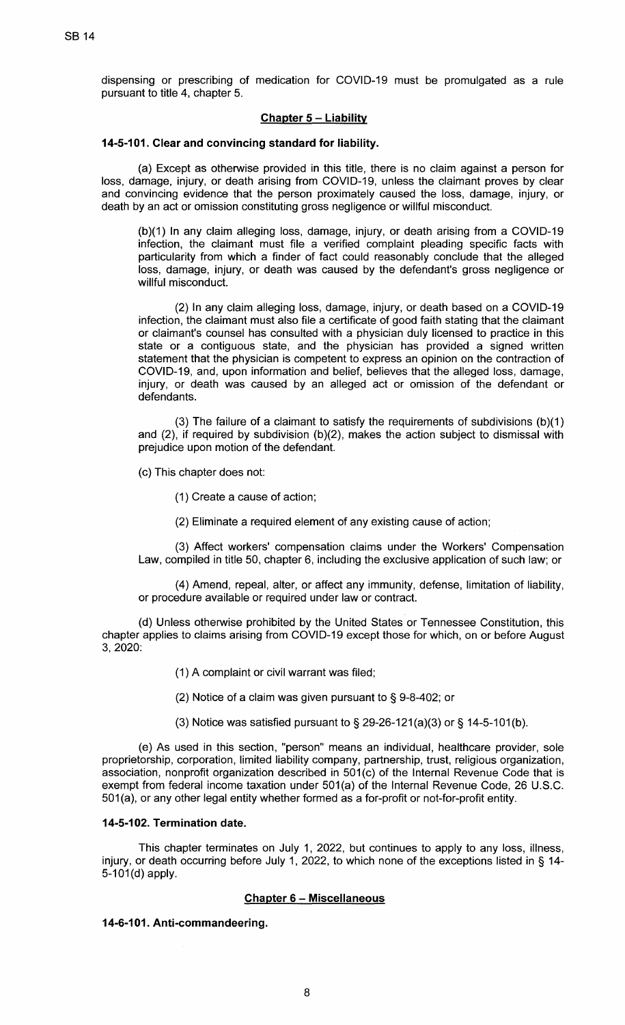dispensing or prescribing of medication for COVID-19 must be promulgated as a rule pursuant to title 4, chapter 5.

# **Chapter 5 - Liability**

### **14-5-101. Clear and convincing standard for liability.**

(a) Except as otherwise provided in this title, there is no claim against a person for loss, damage, injury, or death arising from COVID-19, unless the claimant proves by clear and convincing evidence that the person proximately caused the loss, damage, injury, or death by an act or omission constituting gross negligence or willful misconduct.

(b)(1) In any claim alleging loss, damage, injury, or death arising from a COVID-19 infection, the claimant must file a verified complaint pleading specific facts with particularity from which a finder of fact could reasonably conclude that the alleged loss, damage, injury, or death was caused by the defendant's gross negligence or willful misconduct.

(2) In any claim alleging loss, damage, injury, or death based on a COVID-19 infection, the claimant must also file a certificate of good faith stating that the claimant or claimant's counsel has consulted with a physician duly licensed to practice in this state or a contiguous state, and the physician has provided a signed written statement that the physician is competent to express an opinion on the contraction of COVID-19, and, upon information and belief, believes that the alleged loss, damage, injury, or death was caused by an alleged act or omission of the defendant or defendants.

(3) The failure of a claimant to satisfy the requirements of subdivisions  $(b)(1)$ and (2), if required by subdivision (b)(2), makes the action subject to dismissal with prejudice upon motion of the defendant.

- (c) This chapter does not:
	- (1) Create a cause of action;
	- (2) Eliminate a required element of any existing cause of action;

(3) Affect workers' compensation claims under the Workers' Compensation Law, compiled in title 50, chapter 6, including the exclusive application of such law; or

(4) Amend, repeal, alter, or affect any immunity, defense, limitation of liability, or procedure available or required under law or contract.

(d) Unless otherwise prohibited by the United States or Tennessee Constitution, this chapter applies to claims arising from COVID-19 except those for which, on or before August 3, 2020:

- (1) A complaint or civil warrant was filed;
- (2) Notice of a claim was given pursuant to § 9-8-402; or
- (3) Notice was satisfied pursuant to  $\S 29-26-121(a)(3)$  or  $\S 14-5-101(b)$ .

(e) As used in this section, "person" means an individual, healthcare provider, sole proprietorship, corporation, limited liability company, partnership, trust, religious organization, association, nonprofit organization described in 501 (c) of the Internal Revenue Code that is exempt from federal income taxation under 501(a) of the Internal Revenue Code, 26 U.S.C. 501 (a), or any other legal entity whether formed as a for-profit or not-for-profit entity.

# **14-5-102. Termination date.**

This chapter terminates on July 1, 2022, but continues to apply to any loss, illness, injury, or death occurring before July 1, 2022, to which none of the exceptions listed in § 14-  $5-101(d)$  apply.

# **Chapter 6 - Miscellaneous**

#### **14-6-101. Anti-commandeering.**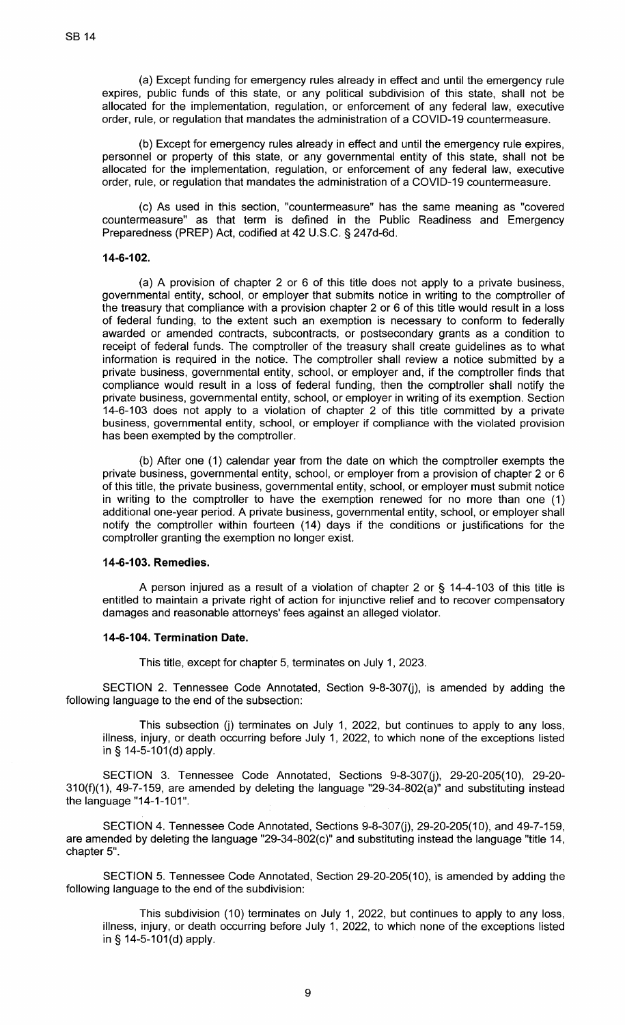(a) Except funding for emergency rules already in effect and until the emergency rule expires, public funds of this state, or any political subdivision of this state, shall not be allocated for the implementation, regulation, or enforcement of any federal law, executive order, rule, or regulation that mandates the administration of a COVID-19 countermeasure.

(b) Except for emergency rules already in effect and until the emergency rule expires, personnel or property of this state, or any governmental entity of this state, shall not be allocated for the implementation, regulation, or enforcement of any federal law, executive order, rule, or regulation that mandates the administration of a COVID-19 countermeasure.

(c) As used in this section, "countermeasure" has the same meaning as "covered countermeasure" as that term is defined in the Public Readiness and Emergency Preparedness (PREP) Act, codified at 42 U.S.C. § 247d-6d.

### **14-6-102.**

(a) A provision of chapter 2 or 6 of this title does not apply to a private business, governmental entity, school, or employer that submits notice in writing to the comptroller of the treasury that compliance with a provision chapter 2 or 6 of this title would result in a loss of federal funding, to the extent such an exemption is necessary to conform to federally awarded or amended contracts, subcontracts, or postsecondary grants as a condition to receipt of federal funds. The comptroller of the treasury shall create guidelines as to what information is required in the notice. The comptroller shall review a notice submitted by a private business, governmental entity, school, or employer and, if the comptroller finds that compliance would result in a loss of federal funding, then the comptroller shall notify the private business, governmental entity, school, or employer in writing of its exemption. Section 14-6-103 does not apply to a violation of chapter 2 of this title committed by a private business, governmental entity, school, or employer if compliance with the violated provision has been exempted by the comptroller.

(b) After one (1) calendar year from the date on which the comptroller exempts the private business, governmental entity, school, or employer from a provision of chapter 2 or 6 of this title, the private business, governmental entity, school, or employer must submit notice in writing to the comptroller to have the exemption renewed for no more than one (1) additional one-year period. A private business, governmental entity, school, or employer shall notify the comptroller within fourteen (14) days if the conditions or justifications for the comptroller granting the exemption no longer exist.

### **14-6-103. Remedies.**

A person injured as a result of a violation of chapter 2 or § 14-4-103 of this title is entitled to maintain a private right of action for injunctive relief and to recover compensatory damages and reasonable attorneys' fees against an alleged violator.

# **14-6-104. Termination Date.**

This title, except for chapter 5, terminates on July 1, 2023.

SECTION 2. Tennessee Code Annotated, Section 9-8-307(j), is amended by adding the following language to the end of the subsection:

This subsection (j) terminates on July 1, 2022, but continues to apply to any loss, illness, injury, or death occurring before July 1, 2022, to which none of the exceptions listed in§ 14-5-101(d) apply.

SECTION 3. Tennessee Code Annotated, Sections 9-8-307(j), 29-20-205(10), 29-20-310(f)(1 ), 49-7-159, are amended by deleting the language "29-34-802(a)" and substituting instead the language "14-1-101".

SECTION 4. Tennessee Code Annotated, Sections 9-8-307(i), 29-20-205(10), and 49-7-159, are amended by deleting the language "29-34-802(c)" and substituting instead the language "title 14, chapter 5".

SECTION 5. Tennessee Code Annotated, Section 29-20-205(10), is amended by adding the following language to the end of the subdivision:

This subdivision (10) terminates on July 1, 2022, but continues to apply to any loss, illness, injury, or death occurring before July 1, 2022, to which none of the exceptions listed in§ 14-5-101(d) apply.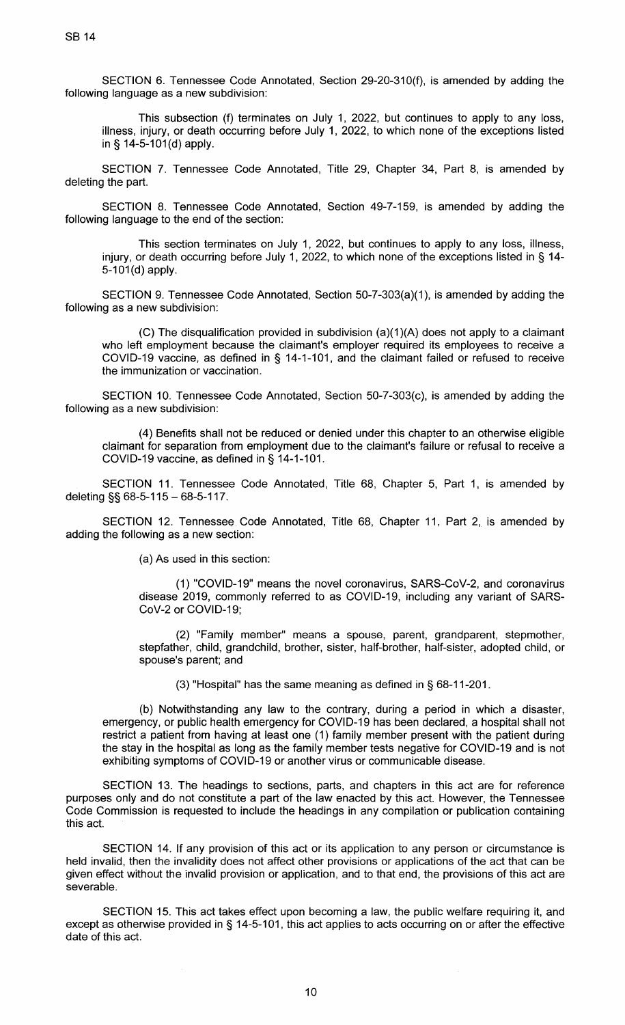SECTION 6. Tennessee Code Annotated, Section 29-20-310(f), is amended by adding the following language as a new subdivision:

This subsection (f) terminates on July 1, 2022, but continues to apply to any loss, illness, injury, or death occurring before July 1, 2022, to which none of the exceptions listed in§ 14-5-101(d) apply.

SECTION 7. Tennessee Code Annotated, Title 29, Chapter 34, Part 8, is amended by deleting the part.

SECTION 8. Tennessee Code Annotated, Section 49-7-159, is amended by adding the following language to the end of the section:

This section terminates on July 1, 2022, but continues to apply to any loss, illness, injury, or death occurring before July 1, 2022, to which none of the exceptions listed in § 14- 5-101(d) apply.

SECTION 9. Tennessee Code Annotated, Section 50-7-303(a)(1 ), is amended by adding the following as a new subdivision:

(C) The disqualification provided in subdivision (a)(1 )(A) does not apply to a claimant who left employment because the claimant's employer required its employees to receive a COVID-19 vaccine, as defined in  $\S$  14-1-101, and the claimant failed or refused to receive the immunization or vaccination.

SECTION 10. Tennessee Code Annotated, Section 50-7-303(c), is amended by adding the following as a new subdivision:

(4) Benefits shall not be reduced or denied under this chapter to an otherwise eligible claimant for separation from employment due to the claimant's failure or refusal to receive a COVID-19 vaccine, as defined in§ 14-1-101.

SECTION 11. Tennessee Code Annotated, Title 68, Chapter 5, Part 1, is amended by deleting  $\S$ § 68-5-115 - 68-5-117.

SECTION 12. Tennessee Code Annotated, Title 68, Chapter 11, Part 2, is amended by adding the following as a new section:

(a) As used in this section:

(1) "COVID-19" means the novel coronavirus, SARS-CoV-2, and coronavirus disease 2019, commonly referred to as COVID-19, including any variant of SARS-CoV-2 or COVID-19;

(2) "Family member" means a spouse, parent, grandparent, stepmother, stepfather, child, grandchild, brother, sister, half-brother, half-sister, adopted child, or spouse's parent; and

(3) "Hospital" has the same meaning as defined in§ 68-11-201.

(b) Notwithstanding any law to the contrary, during a period in which a disaster, emergency, or public health emergency for COVID-19 has been declared, a hospital shall not restrict a patient from having at least one (1) family member present with the patient during the stay in the hospital as long as the family member tests negative for COVID-19 and is not exhibiting symptoms of COVID-19 or another virus or communicable disease.

SECTION 13. The headings to sections, parts, and chapters in this act are for reference purposes only and do not constitute a part of the law enacted by this act. However, the Tennessee Code Commission is requested to include the headings in any compilation or publication containing this act.

SECTION 14. If any provision of this act or its application to any person or circumstance is held invalid, then the invalidity does not affect other provisions or applications of the act that can be given effect without the invalid provision or application, and to that end, the provisions of this act are severable.

SECTION 15. This act takes effect upon becoming a law, the public welfare requiring it, and except as otherwise provided in § 14-5-101, this act applies to acts occurring on or after the effective date of this act.